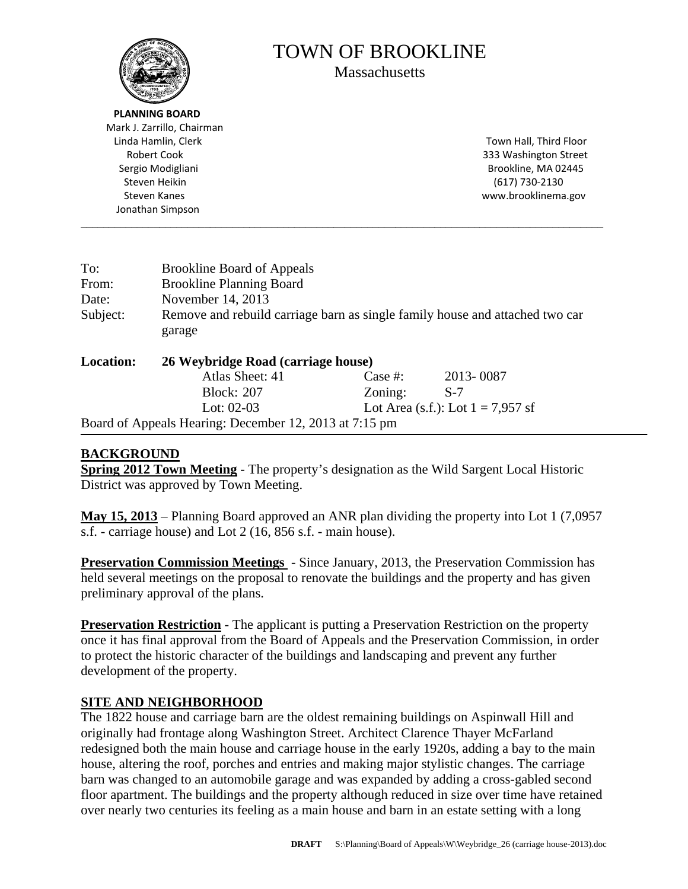

# TOWN OF BROOKLINE

**Massachusetts** 

 **PLANNING BOARD** Mark J. Zarrillo, Chairman Linda Hamlin, Clerk Town Hall, Third Floor Sergio Modigliani **Matsualism and Sergio Modigliani** and Sergio Modigliani and Sergio Modigliani and Sergio Matsu Steven Heikin (617) 730‐2130 Jonathan Simpson

Robert Cook **800 Street** Cook **800 Street** Cook **800 Street** Street Street Street Street Street Street Street Street Street Street Street Street Street Street Street Street Street Street Street Street Street Street Street Steven Kanes www.brooklinema.gov

| To:              | <b>Brookline Board of Appeals</b>                                                      |            |                                     |  |  |
|------------------|----------------------------------------------------------------------------------------|------------|-------------------------------------|--|--|
| From:            | <b>Brookline Planning Board</b>                                                        |            |                                     |  |  |
| Date:            | November 14, 2013                                                                      |            |                                     |  |  |
| Subject:         | Remove and rebuild carriage barn as single family house and attached two car<br>garage |            |                                     |  |  |
| <b>Location:</b> | 26 Weybridge Road (carriage house)                                                     |            |                                     |  |  |
|                  | Atlas Sheet: 41                                                                        | Case $#$ : | 2013-0087                           |  |  |
|                  | <b>Block: 207</b>                                                                      | Zoning:    | $S-7$                               |  |  |
|                  | Lot: $02-03$                                                                           |            | Lot Area (s.f.): Lot $1 = 7,957$ sf |  |  |

\_\_\_\_\_\_\_\_\_\_\_\_\_\_\_\_\_\_\_\_\_\_\_\_\_\_\_\_\_\_\_\_\_\_\_\_\_\_\_\_\_\_\_\_\_\_\_\_\_\_\_\_\_\_\_\_\_\_\_\_\_\_\_\_\_\_\_\_\_\_\_\_\_\_\_\_\_\_\_\_\_\_\_\_\_\_\_\_\_\_\_\_\_

Board of Appeals Hearing: December 12, 2013 at 7:15 pm

## **BACKGROUND**

**Spring 2012 Town Meeting** - The property's designation as the Wild Sargent Local Historic District was approved by Town Meeting.

**May 15, 2013** – Planning Board approved an ANR plan dividing the property into Lot 1 (7,0957 s.f. - carriage house) and Lot 2 (16, 856 s.f. - main house).

**Preservation Commission Meetings** - Since January, 2013, the Preservation Commission has held several meetings on the proposal to renovate the buildings and the property and has given preliminary approval of the plans.

**Preservation Restriction** - The applicant is putting a Preservation Restriction on the property once it has final approval from the Board of Appeals and the Preservation Commission, in order to protect the historic character of the buildings and landscaping and prevent any further development of the property.

### **SITE AND NEIGHBORHOOD**

The 1822 house and carriage barn are the oldest remaining buildings on Aspinwall Hill and originally had frontage along Washington Street. Architect Clarence Thayer McFarland redesigned both the main house and carriage house in the early 1920s, adding a bay to the main house, altering the roof, porches and entries and making major stylistic changes. The carriage barn was changed to an automobile garage and was expanded by adding a cross-gabled second floor apartment. The buildings and the property although reduced in size over time have retained over nearly two centuries its feeling as a main house and barn in an estate setting with a long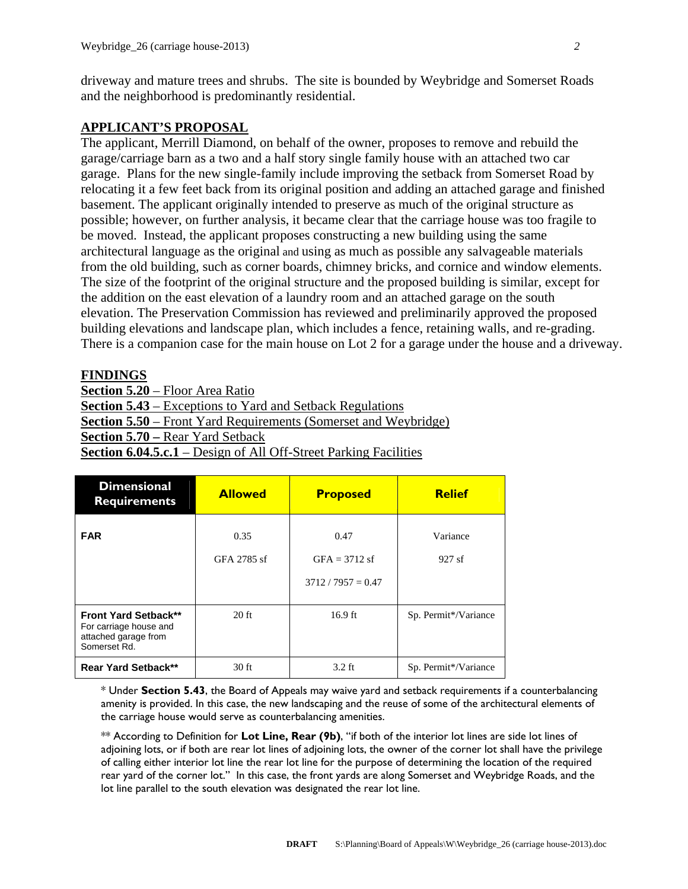driveway and mature trees and shrubs. The site is bounded by Weybridge and Somerset Roads and the neighborhood is predominantly residential.

#### **APPLICANT'S PROPOSAL**

The applicant, Merrill Diamond, on behalf of the owner, proposes to remove and rebuild the garage/carriage barn as a two and a half story single family house with an attached two car garage. Plans for the new single-family include improving the setback from Somerset Road by relocating it a few feet back from its original position and adding an attached garage and finished basement. The applicant originally intended to preserve as much of the original structure as possible; however, on further analysis, it became clear that the carriage house was too fragile to be moved. Instead, the applicant proposes constructing a new building using the same architectural language as the original and using as much as possible any salvageable materials from the old building, such as corner boards, chimney bricks, and cornice and window elements. The size of the footprint of the original structure and the proposed building is similar, except for the addition on the east elevation of a laundry room and an attached garage on the south elevation. The Preservation Commission has reviewed and preliminarily approved the proposed building elevations and landscape plan, which includes a fence, retaining walls, and re-grading. There is a companion case for the main house on Lot 2 for a garage under the house and a driveway.

#### **FINDINGS**

**Section 5.20** – Floor Area Ratio **Section 5.43** – Exceptions to Yard and Setback Regulations **Section 5.50** – Front Yard Requirements (Somerset and Weybridge) **Section 5.70 –** Rear Yard Setback **Section 6.04.5.c.1** – Design of All Off-Street Parking Facilities

| <b>Dimensional</b><br><b>Requirements</b>                                                     | <b>Allowed</b>      | <b>Proposed</b>                                 | <b>Relief</b>        |
|-----------------------------------------------------------------------------------------------|---------------------|-------------------------------------------------|----------------------|
| <b>FAR</b>                                                                                    | 0.35<br>GFA 2785 sf | 0.47<br>$GFA = 3712$ sf<br>$3712 / 7957 = 0.47$ | Variance<br>927sf    |
| <b>Front Yard Setback**</b><br>For carriage house and<br>attached garage from<br>Somerset Rd. | $20$ ft             | $16.9$ ft                                       | Sp. Permit*/Variance |
| <b>Rear Yard Setback**</b>                                                                    | 30 ft               | $3.2$ ft                                        | Sp. Permit*/Variance |

\* Under **Section 5.43**, the Board of Appeals may waive yard and setback requirements if a counterbalancing amenity is provided. In this case, the new landscaping and the reuse of some of the architectural elements of the carriage house would serve as counterbalancing amenities.

\*\* According to Definition for **Lot Line, Rear (9b)**, "if both of the interior lot lines are side lot lines of adjoining lots, or if both are rear lot lines of adjoining lots, the owner of the corner lot shall have the privilege of calling either interior lot line the rear lot line for the purpose of determining the location of the required rear yard of the corner lot." In this case, the front yards are along Somerset and Weybridge Roads, and the lot line parallel to the south elevation was designated the rear lot line.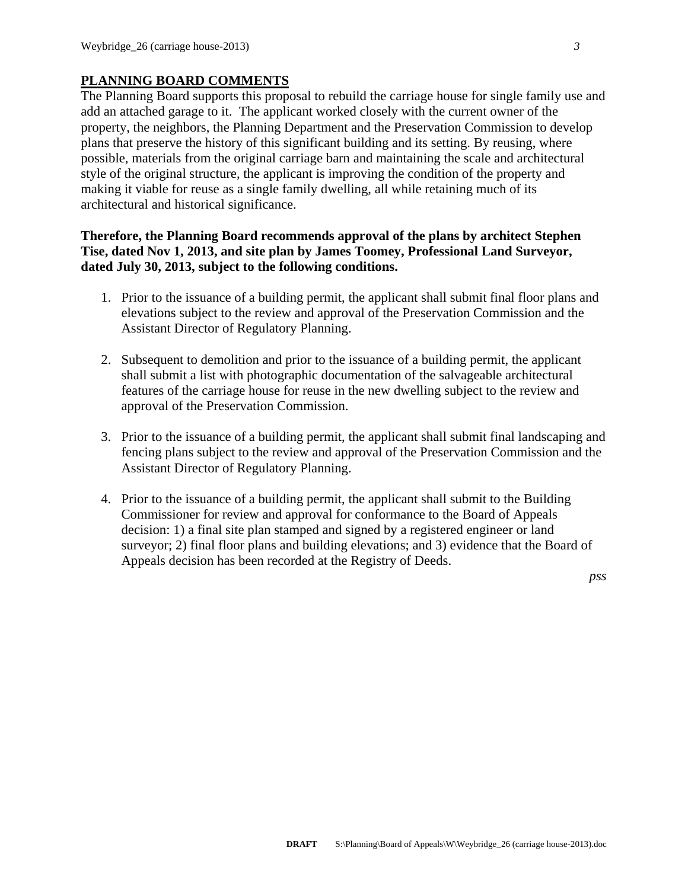#### **PLANNING BOARD COMMENTS**

The Planning Board supports this proposal to rebuild the carriage house for single family use and add an attached garage to it. The applicant worked closely with the current owner of the property, the neighbors, the Planning Department and the Preservation Commission to develop plans that preserve the history of this significant building and its setting. By reusing, where possible, materials from the original carriage barn and maintaining the scale and architectural style of the original structure, the applicant is improving the condition of the property and making it viable for reuse as a single family dwelling, all while retaining much of its architectural and historical significance.

#### **Therefore, the Planning Board recommends approval of the plans by architect Stephen Tise, dated Nov 1, 2013, and site plan by James Toomey, Professional Land Surveyor, dated July 30, 2013, subject to the following conditions.**

- 1. Prior to the issuance of a building permit, the applicant shall submit final floor plans and elevations subject to the review and approval of the Preservation Commission and the Assistant Director of Regulatory Planning.
- 2. Subsequent to demolition and prior to the issuance of a building permit, the applicant shall submit a list with photographic documentation of the salvageable architectural features of the carriage house for reuse in the new dwelling subject to the review and approval of the Preservation Commission.
- 3. Prior to the issuance of a building permit, the applicant shall submit final landscaping and fencing plans subject to the review and approval of the Preservation Commission and the Assistant Director of Regulatory Planning.
- 4. Prior to the issuance of a building permit, the applicant shall submit to the Building Commissioner for review and approval for conformance to the Board of Appeals decision: 1) a final site plan stamped and signed by a registered engineer or land surveyor; 2) final floor plans and building elevations; and 3) evidence that the Board of Appeals decision has been recorded at the Registry of Deeds.

*pss*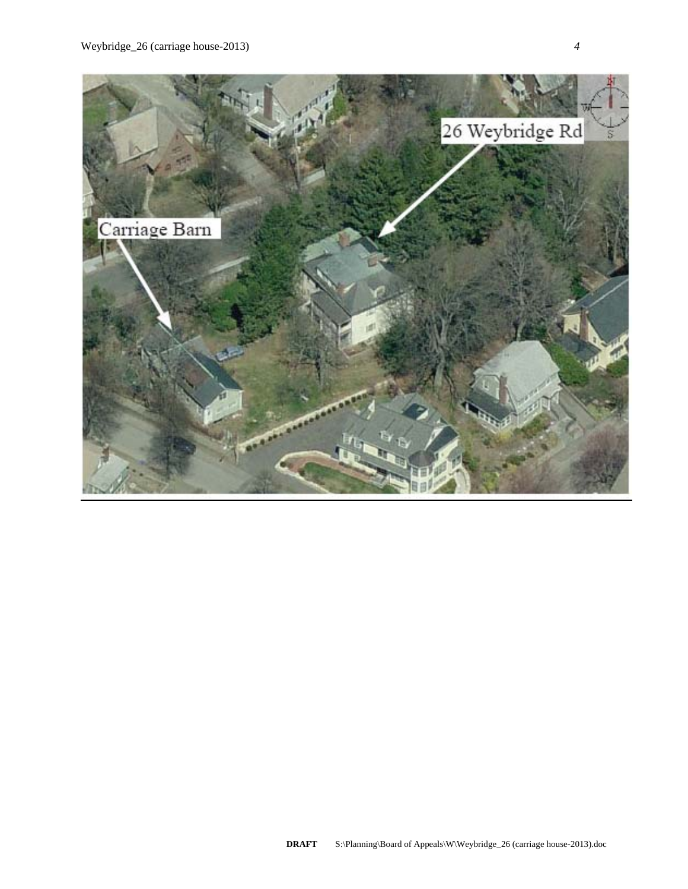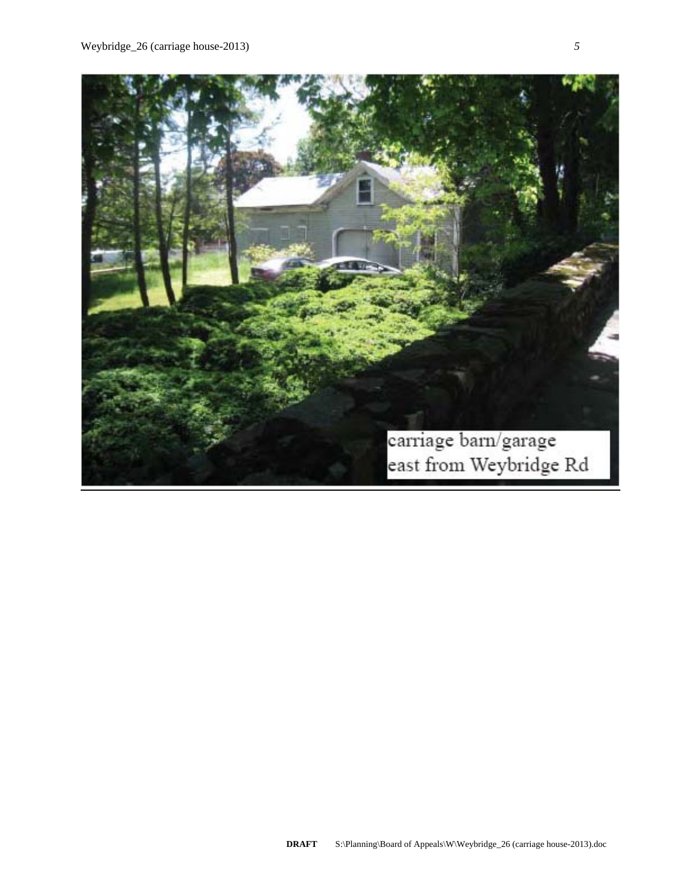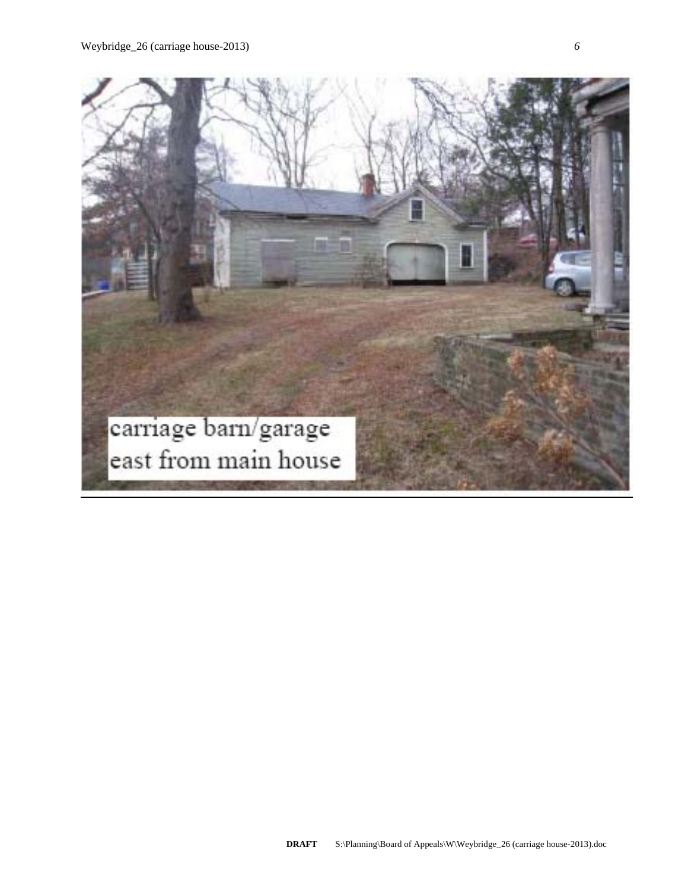